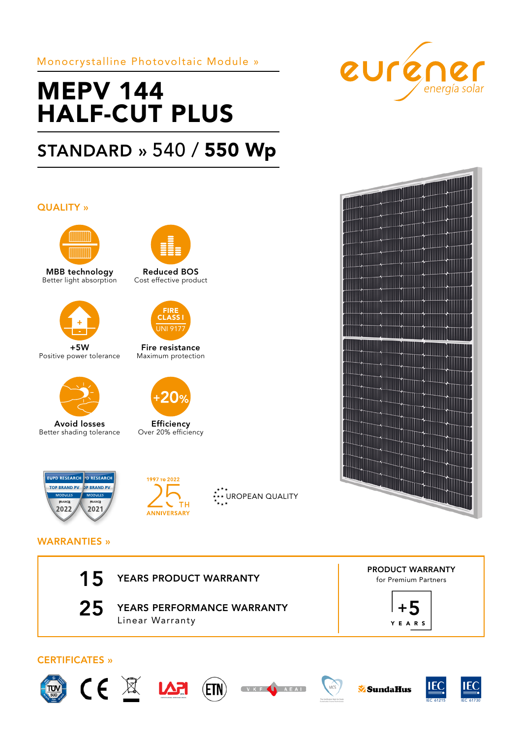Monocrystalline Photovoltaic Module »

# MEPV 144 HALF-CUT PLUS

## STANDARD » 540 / 550 Wp

### QUALITY »



MBB technology Better light absorption



+5W Positive power tolerance



Avoid losses Better shading tolerance



Reduced BOS Cost effective product



Fire resistance Maximum protection



**Efficiency** Over 20% efficiency

1997 то 2022

ANNIVERSARY

 $\overline{C}$  TH



# WARRANTIES »

15 YEARS PRODUCT WARRANTY



















**\*\*\* UROPEAN QUALITY**